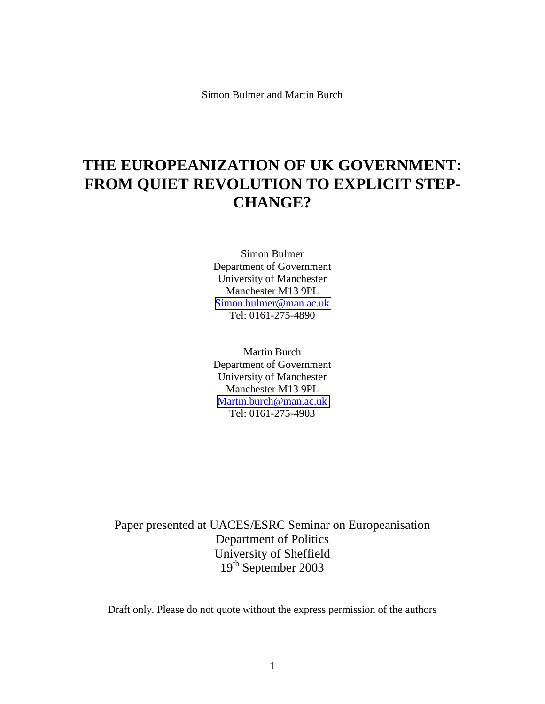Simon Bulmer and Martin Burch

# **THE EUROPEANIZATION OF UK GOVERNMENT: FROM QUIET REVOLUTION TO EXPLICIT STEP-CHANGE?**

Simon Bulmer Department of Government University of Manchester Manchester M13 9PL [Simon.bulmer@man.ac.uk](mailto:Simon.bulmer@man.ac.uk) Tel: 0161-275-4890

Martin Burch Department of Government University of Manchester Manchester M13 9PL [Martin.burch@man.ac.uk](mailto:Martin.burch@man.ac.uk) Tel: 0161-275-4903

Paper presented at UACES/ESRC Seminar on Europeanisation Department of Politics University of Sheffield 19<sup>th</sup> September 2003

Draft only. Please do not quote without the express permission of the authors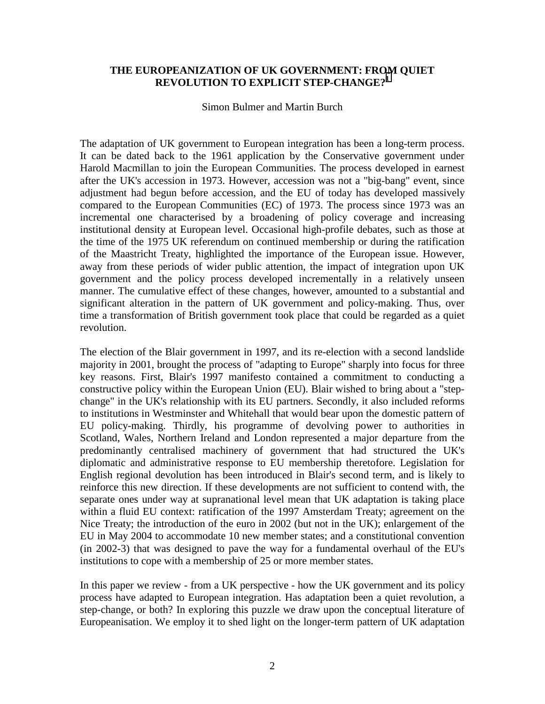# **THE EUROPEANIZATION OF UK GOVERNMENT: FROM QUIET REVOLUTION TO EXPLICIT STEP-CHANGE?[1](#page-23-0)**

Simon Bulmer and Martin Burch

The adaptation of UK government to European integration has been a long-term process. It can be dated back to the 1961 application by the Conservative government under Harold Macmillan to join the European Communities. The process developed in earnest after the UK's accession in 1973. However, accession was not a "big-bang" event, since adjustment had begun before accession, and the EU of today has developed massively compared to the European Communities (EC) of 1973. The process since 1973 was an incremental one characterised by a broadening of policy coverage and increasing institutional density at European level. Occasional high-profile debates, such as those at the time of the 1975 UK referendum on continued membership or during the ratification of the Maastricht Treaty, highlighted the importance of the European issue. However, away from these periods of wider public attention, the impact of integration upon UK government and the policy process developed incrementally in a relatively unseen manner. The cumulative effect of these changes, however, amounted to a substantial and significant alteration in the pattern of UK government and policy-making. Thus, over time a transformation of British government took place that could be regarded as a quiet revolution.

The election of the Blair government in 1997, and its re-election with a second landslide majority in 2001, brought the process of "adapting to Europe" sharply into focus for three key reasons. First, Blair's 1997 manifesto contained a commitment to conducting a constructive policy within the European Union (EU). Blair wished to bring about a "stepchange" in the UK's relationship with its EU partners. Secondly, it also included reforms to institutions in Westminster and Whitehall that would bear upon the domestic pattern of EU policy-making. Thirdly, his programme of devolving power to authorities in Scotland, Wales, Northern Ireland and London represented a major departure from the predominantly centralised machinery of government that had structured the UK's diplomatic and administrative response to EU membership theretofore. Legislation for English regional devolution has been introduced in Blair's second term, and is likely to reinforce this new direction. If these developments are not sufficient to contend with, the separate ones under way at supranational level mean that UK adaptation is taking place within a fluid EU context: ratification of the 1997 Amsterdam Treaty; agreement on the Nice Treaty; the introduction of the euro in 2002 (but not in the UK); enlargement of the EU in May 2004 to accommodate 10 new member states; and a constitutional convention (in 2002-3) that was designed to pave the way for a fundamental overhaul of the EU's institutions to cope with a membership of 25 or more member states.

In this paper we review - from a UK perspective - how the UK government and its policy process have adapted to European integration. Has adaptation been a quiet revolution, a step-change, or both? In exploring this puzzle we draw upon the conceptual literature of Europeanisation. We employ it to shed light on the longer-term pattern of UK adaptation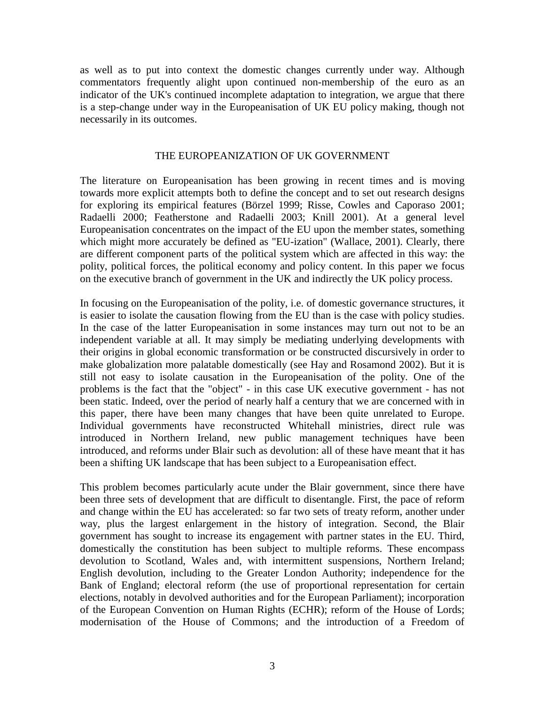as well as to put into context the domestic changes currently under way. Although commentators frequently alight upon continued non-membership of the euro as an indicator of the UK's continued incomplete adaptation to integration, we argue that there is a step-change under way in the Europeanisation of UK EU policy making, though not necessarily in its outcomes.

## THE EUROPEANIZATION OF UK GOVERNMENT

The literature on Europeanisation has been growing in recent times and is moving towards more explicit attempts both to define the concept and to set out research designs for exploring its empirical features (Börzel 1999; Risse, Cowles and Caporaso 2001; Radaelli 2000; Featherstone and Radaelli 2003; Knill 2001). At a general level Europeanisation concentrates on the impact of the EU upon the member states, something which might more accurately be defined as "EU-ization" (Wallace, 2001). Clearly, there are different component parts of the political system which are affected in this way: the polity, political forces, the political economy and policy content. In this paper we focus on the executive branch of government in the UK and indirectly the UK policy process.

In focusing on the Europeanisation of the polity, i.e. of domestic governance structures, it is easier to isolate the causation flowing from the EU than is the case with policy studies. In the case of the latter Europeanisation in some instances may turn out not to be an independent variable at all. It may simply be mediating underlying developments with their origins in global economic transformation or be constructed discursively in order to make globalization more palatable domestically (see Hay and Rosamond 2002). But it is still not easy to isolate causation in the Europeanisation of the polity. One of the problems is the fact that the "object" - in this case UK executive government - has not been static. Indeed, over the period of nearly half a century that we are concerned with in this paper, there have been many changes that have been quite unrelated to Europe. Individual governments have reconstructed Whitehall ministries, direct rule was introduced in Northern Ireland, new public management techniques have been introduced, and reforms under Blair such as devolution: all of these have meant that it has been a shifting UK landscape that has been subject to a Europeanisation effect.

This problem becomes particularly acute under the Blair government, since there have been three sets of development that are difficult to disentangle. First, the pace of reform and change within the EU has accelerated: so far two sets of treaty reform, another under way, plus the largest enlargement in the history of integration. Second, the Blair government has sought to increase its engagement with partner states in the EU. Third, domestically the constitution has been subject to multiple reforms. These encompass devolution to Scotland, Wales and, with intermittent suspensions, Northern Ireland; English devolution, including to the Greater London Authority; independence for the Bank of England; electoral reform (the use of proportional representation for certain elections, notably in devolved authorities and for the European Parliament); incorporation of the European Convention on Human Rights (ECHR); reform of the House of Lords; modernisation of the House of Commons; and the introduction of a Freedom of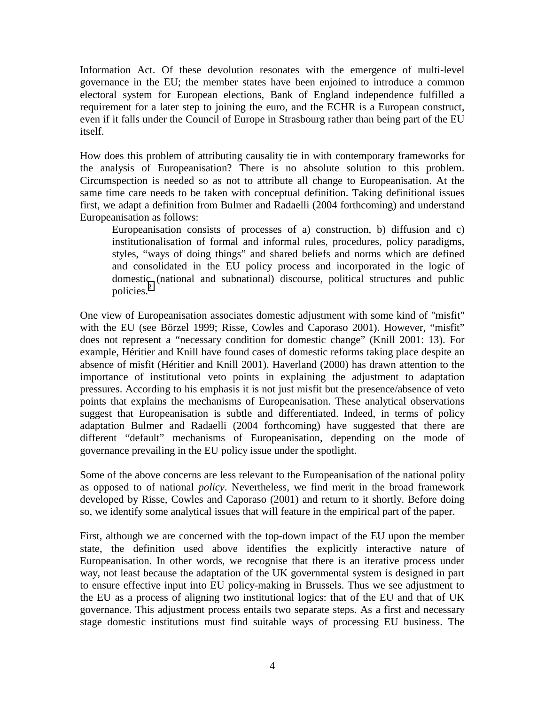Information Act. Of these devolution resonates with the emergence of multi-level governance in the EU; the member states have been enjoined to introduce a common electoral system for European elections, Bank of England independence fulfilled a requirement for a later step to joining the euro, and the ECHR is a European construct, even if it falls under the Council of Europe in Strasbourg rather than being part of the EU itself.

How does this problem of attributing causality tie in with contemporary frameworks for the analysis of Europeanisation? There is no absolute solution to this problem. Circumspection is needed so as not to attribute all change to Europeanisation. At the same time care needs to be taken with conceptual definition. Taking definitional issues first, we adapt a definition from Bulmer and Radaelli (2004 forthcoming) and understand Europeanisation as follows:

Europeanisation consists of processes of a) construction, b) diffusion and c) institutionalisation of formal and informal rules, procedures, policy paradigms, styles, "ways of doing things" and shared beliefs and norms which are defined and consolidated in the EU policy process and incorporated in the logic of domestic (national and subnational) discourse, political structures and public policies.<sup>[2](#page-23-0)</sup>

One view of Europeanisation associates domestic adjustment with some kind of "misfit" with the EU (see Börzel 1999; Risse, Cowles and Caporaso 2001). However, "misfit" does not represent a "necessary condition for domestic change" (Knill 2001: 13). For example, Héritier and Knill have found cases of domestic reforms taking place despite an absence of misfit (Héritier and Knill 2001). Haverland (2000) has drawn attention to the importance of institutional veto points in explaining the adjustment to adaptation pressures. According to his emphasis it is not just misfit but the presence/absence of veto points that explains the mechanisms of Europeanisation. These analytical observations suggest that Europeanisation is subtle and differentiated. Indeed, in terms of policy adaptation Bulmer and Radaelli (2004 forthcoming) have suggested that there are different "default" mechanisms of Europeanisation, depending on the mode of governance prevailing in the EU policy issue under the spotlight.

Some of the above concerns are less relevant to the Europeanisation of the national polity as opposed to of national *policy*. Nevertheless, we find merit in the broad framework developed by Risse, Cowles and Caporaso (2001) and return to it shortly. Before doing so, we identify some analytical issues that will feature in the empirical part of the paper.

First, although we are concerned with the top-down impact of the EU upon the member state, the definition used above identifies the explicitly interactive nature of Europeanisation. In other words, we recognise that there is an iterative process under way, not least because the adaptation of the UK governmental system is designed in part to ensure effective input into EU policy-making in Brussels. Thus we see adjustment to the EU as a process of aligning two institutional logics: that of the EU and that of UK governance. This adjustment process entails two separate steps. As a first and necessary stage domestic institutions must find suitable ways of processing EU business. The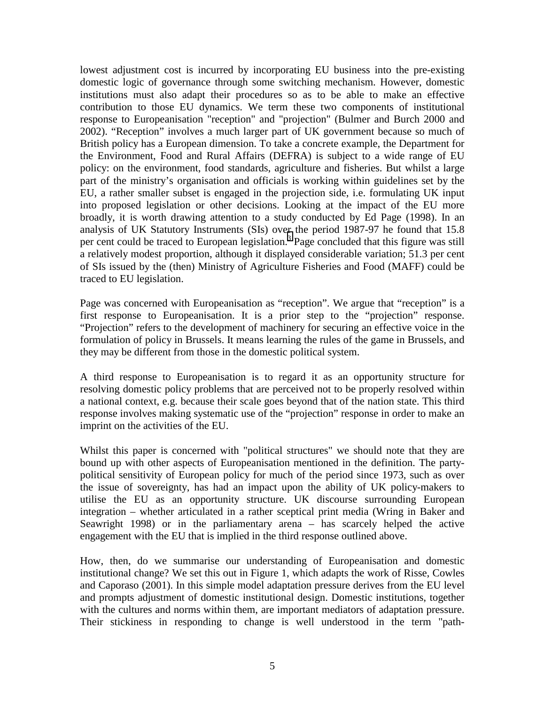lowest adjustment cost is incurred by incorporating EU business into the pre-existing domestic logic of governance through some switching mechanism. However, domestic institutions must also adapt their procedures so as to be able to make an effective contribution to those EU dynamics. We term these two components of institutional response to Europeanisation "reception" and "projection" (Bulmer and Burch 2000 and 2002). "Reception" involves a much larger part of UK government because so much of British policy has a European dimension. To take a concrete example, the Department for the Environment, Food and Rural Affairs (DEFRA) is subject to a wide range of EU policy: on the environment, food standards, agriculture and fisheries. But whilst a large part of the ministry's organisation and officials is working within guidelines set by the EU, a rather smaller subset is engaged in the projection side, i.e. formulating UK input into proposed legislation or other decisions. Looking at the impact of the EU more broadly, it is worth drawing attention to a study conducted by Ed Page (1998). In an analysis of UK Statutory Instruments (SIs) over the period 1987-97 he found that 15.8 per cent could be traced to European legislation.<sup>3</sup> Page concluded that this figure was still a relatively modest proportion, although it displayed considerable variation; 51.3 per cent of SIs issued by the (then) Ministry of Agriculture Fisheries and Food (MAFF) could be traced to EU legislation.

Page was concerned with Europeanisation as "reception". We argue that "reception" is a first response to Europeanisation. It is a prior step to the "projection" response. "Projection" refers to the development of machinery for securing an effective voice in the formulation of policy in Brussels. It means learning the rules of the game in Brussels, and they may be different from those in the domestic political system.

A third response to Europeanisation is to regard it as an opportunity structure for resolving domestic policy problems that are perceived not to be properly resolved within a national context, e.g. because their scale goes beyond that of the nation state. This third response involves making systematic use of the "projection" response in order to make an imprint on the activities of the EU.

Whilst this paper is concerned with "political structures" we should note that they are bound up with other aspects of Europeanisation mentioned in the definition. The partypolitical sensitivity of European policy for much of the period since 1973, such as over the issue of sovereignty, has had an impact upon the ability of UK policy-makers to utilise the EU as an opportunity structure. UK discourse surrounding European integration – whether articulated in a rather sceptical print media (Wring in Baker and Seawright 1998) or in the parliamentary arena – has scarcely helped the active engagement with the EU that is implied in the third response outlined above.

How, then, do we summarise our understanding of Europeanisation and domestic institutional change? We set this out in Figure 1, which adapts the work of Risse, Cowles and Caporaso (2001). In this simple model adaptation pressure derives from the EU level and prompts adjustment of domestic institutional design. Domestic institutions, together with the cultures and norms within them, are important mediators of adaptation pressure. Their stickiness in responding to change is well understood in the term "path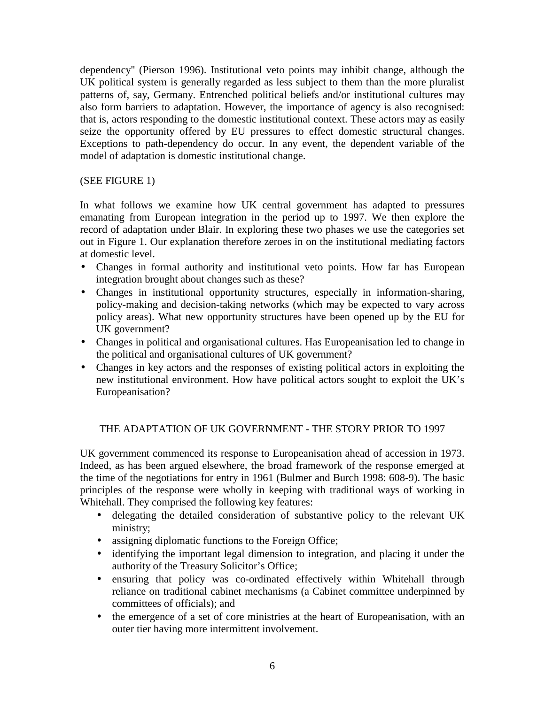dependency" (Pierson 1996). Institutional veto points may inhibit change, although the UK political system is generally regarded as less subject to them than the more pluralist patterns of, say, Germany. Entrenched political beliefs and/or institutional cultures may also form barriers to adaptation. However, the importance of agency is also recognised: that is, actors responding to the domestic institutional context. These actors may as easily seize the opportunity offered by EU pressures to effect domestic structural changes. Exceptions to path-dependency do occur. In any event, the dependent variable of the model of adaptation is domestic institutional change.

# (SEE FIGURE 1)

In what follows we examine how UK central government has adapted to pressures emanating from European integration in the period up to 1997. We then explore the record of adaptation under Blair. In exploring these two phases we use the categories set out in Figure 1. Our explanation therefore zeroes in on the institutional mediating factors at domestic level.

- Changes in formal authority and institutional veto points. How far has European integration brought about changes such as these?
- Changes in institutional opportunity structures, especially in information-sharing, policy-making and decision-taking networks (which may be expected to vary across policy areas). What new opportunity structures have been opened up by the EU for UK government?
- Changes in political and organisational cultures. Has Europeanisation led to change in the political and organisational cultures of UK government?
- Changes in key actors and the responses of existing political actors in exploiting the new institutional environment. How have political actors sought to exploit the UK's Europeanisation?

# THE ADAPTATION OF UK GOVERNMENT - THE STORY PRIOR TO 1997

UK government commenced its response to Europeanisation ahead of accession in 1973. Indeed, as has been argued elsewhere, the broad framework of the response emerged at the time of the negotiations for entry in 1961 (Bulmer and Burch 1998: 608-9). The basic principles of the response were wholly in keeping with traditional ways of working in Whitehall. They comprised the following key features:

- delegating the detailed consideration of substantive policy to the relevant UK ministry;
- assigning diplomatic functions to the Foreign Office;
- identifying the important legal dimension to integration, and placing it under the authority of the Treasury Solicitor's Office;
- ensuring that policy was co-ordinated effectively within Whitehall through reliance on traditional cabinet mechanisms (a Cabinet committee underpinned by committees of officials); and
- the emergence of a set of core ministries at the heart of Europeanisation, with an outer tier having more intermittent involvement.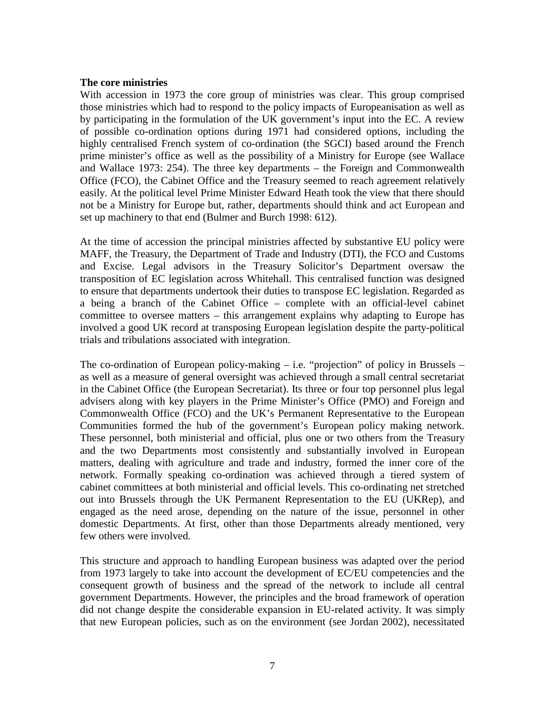#### **The core ministries**

With accession in 1973 the core group of ministries was clear. This group comprised those ministries which had to respond to the policy impacts of Europeanisation as well as by participating in the formulation of the UK government's input into the EC. A review of possible co-ordination options during 1971 had considered options, including the highly centralised French system of co-ordination (the SGCI) based around the French prime minister's office as well as the possibility of a Ministry for Europe (see Wallace and Wallace 1973: 254). The three key departments – the Foreign and Commonwealth Office (FCO), the Cabinet Office and the Treasury seemed to reach agreement relatively easily. At the political level Prime Minister Edward Heath took the view that there should not be a Ministry for Europe but, rather, departments should think and act European and set up machinery to that end (Bulmer and Burch 1998: 612).

At the time of accession the principal ministries affected by substantive EU policy were MAFF, the Treasury, the Department of Trade and Industry (DTI), the FCO and Customs and Excise. Legal advisors in the Treasury Solicitor's Department oversaw the transposition of EC legislation across Whitehall. This centralised function was designed to ensure that departments undertook their duties to transpose EC legislation. Regarded as a being a branch of the Cabinet Office – complete with an official-level cabinet committee to oversee matters – this arrangement explains why adapting to Europe has involved a good UK record at transposing European legislation despite the party-political trials and tribulations associated with integration.

The co-ordination of European policy-making – i.e. "projection" of policy in Brussels – as well as a measure of general oversight was achieved through a small central secretariat in the Cabinet Office (the European Secretariat). Its three or four top personnel plus legal advisers along with key players in the Prime Minister's Office (PMO) and Foreign and Commonwealth Office (FCO) and the UK's Permanent Representative to the European Communities formed the hub of the government's European policy making network. These personnel, both ministerial and official, plus one or two others from the Treasury and the two Departments most consistently and substantially involved in European matters, dealing with agriculture and trade and industry, formed the inner core of the network. Formally speaking co-ordination was achieved through a tiered system of cabinet committees at both ministerial and official levels. This co-ordinating net stretched out into Brussels through the UK Permanent Representation to the EU (UKRep), and engaged as the need arose, depending on the nature of the issue, personnel in other domestic Departments. At first, other than those Departments already mentioned, very few others were involved.

This structure and approach to handling European business was adapted over the period from 1973 largely to take into account the development of EC/EU competencies and the consequent growth of business and the spread of the network to include all central government Departments. However, the principles and the broad framework of operation did not change despite the considerable expansion in EU-related activity. It was simply that new European policies, such as on the environment (see Jordan 2002), necessitated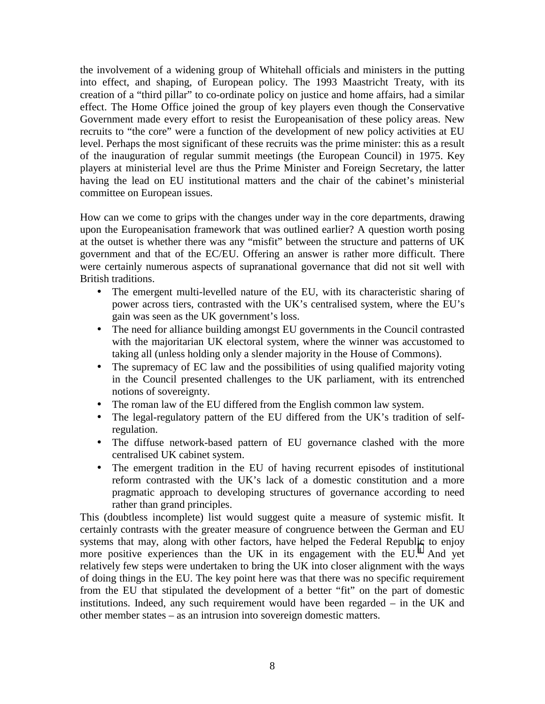the involvement of a widening group of Whitehall officials and ministers in the putting into effect, and shaping, of European policy. The 1993 Maastricht Treaty, with its creation of a "third pillar" to co-ordinate policy on justice and home affairs, had a similar effect. The Home Office joined the group of key players even though the Conservative Government made every effort to resist the Europeanisation of these policy areas. New recruits to "the core" were a function of the development of new policy activities at EU level. Perhaps the most significant of these recruits was the prime minister: this as a result of the inauguration of regular summit meetings (the European Council) in 1975. Key players at ministerial level are thus the Prime Minister and Foreign Secretary, the latter having the lead on EU institutional matters and the chair of the cabinet's ministerial committee on European issues.

How can we come to grips with the changes under way in the core departments, drawing upon the Europeanisation framework that was outlined earlier? A question worth posing at the outset is whether there was any "misfit" between the structure and patterns of UK government and that of the EC/EU. Offering an answer is rather more difficult. There were certainly numerous aspects of supranational governance that did not sit well with British traditions.

- The emergent multi-levelled nature of the EU, with its characteristic sharing of power across tiers, contrasted with the UK's centralised system, where the EU's gain was seen as the UK government's loss.
- The need for alliance building amongst EU governments in the Council contrasted with the majoritarian UK electoral system, where the winner was accustomed to taking all (unless holding only a slender majority in the House of Commons).
- The supremacy of EC law and the possibilities of using qualified majority voting in the Council presented challenges to the UK parliament, with its entrenched notions of sovereignty.
- The roman law of the EU differed from the English common law system.
- The legal-regulatory pattern of the EU differed from the UK's tradition of selfregulation.
- The diffuse network-based pattern of EU governance clashed with the more centralised UK cabinet system.
- The emergent tradition in the EU of having recurrent episodes of institutional reform contrasted with the UK's lack of a domestic constitution and a more pragmatic approach to developing structures of governance according to need rather than grand principles.

This (doubtless incomplete) list would suggest quite a measure of systemic misfit. It certainly contrasts with the greater measure of congruence between the German and EU systems that may, along with other factors, have helped the Federal Republic to enjoy more positive experiences than the UK in its engagement with the  $EU^4$  $EU^4$ . And yet relatively few steps were undertaken to bring the UK into closer alignment with the ways of doing things in the EU. The key point here was that there was no specific requirement from the EU that stipulated the development of a better "fit" on the part of domestic institutions. Indeed, any such requirement would have been regarded – in the UK and other member states – as an intrusion into sovereign domestic matters.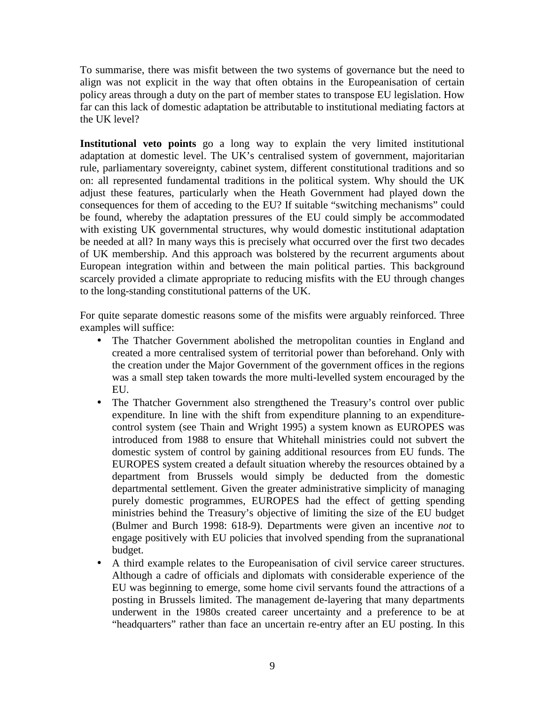To summarise, there was misfit between the two systems of governance but the need to align was not explicit in the way that often obtains in the Europeanisation of certain policy areas through a duty on the part of member states to transpose EU legislation. How far can this lack of domestic adaptation be attributable to institutional mediating factors at the UK level?

**Institutional veto points** go a long way to explain the very limited institutional adaptation at domestic level. The UK's centralised system of government, majoritarian rule, parliamentary sovereignty, cabinet system, different constitutional traditions and so on: all represented fundamental traditions in the political system. Why should the UK adjust these features, particularly when the Heath Government had played down the consequences for them of acceding to the EU? If suitable "switching mechanisms" could be found, whereby the adaptation pressures of the EU could simply be accommodated with existing UK governmental structures, why would domestic institutional adaptation be needed at all? In many ways this is precisely what occurred over the first two decades of UK membership. And this approach was bolstered by the recurrent arguments about European integration within and between the main political parties. This background scarcely provided a climate appropriate to reducing misfits with the EU through changes to the long-standing constitutional patterns of the UK.

For quite separate domestic reasons some of the misfits were arguably reinforced. Three examples will suffice:

- The Thatcher Government abolished the metropolitan counties in England and created a more centralised system of territorial power than beforehand. Only with the creation under the Major Government of the government offices in the regions was a small step taken towards the more multi-levelled system encouraged by the EU.
- The Thatcher Government also strengthened the Treasury's control over public expenditure. In line with the shift from expenditure planning to an expenditurecontrol system (see Thain and Wright 1995) a system known as EUROPES was introduced from 1988 to ensure that Whitehall ministries could not subvert the domestic system of control by gaining additional resources from EU funds. The EUROPES system created a default situation whereby the resources obtained by a department from Brussels would simply be deducted from the domestic departmental settlement. Given the greater administrative simplicity of managing purely domestic programmes, EUROPES had the effect of getting spending ministries behind the Treasury's objective of limiting the size of the EU budget (Bulmer and Burch 1998: 618-9). Departments were given an incentive *not* to engage positively with EU policies that involved spending from the supranational budget.
- A third example relates to the Europeanisation of civil service career structures. Although a cadre of officials and diplomats with considerable experience of the EU was beginning to emerge, some home civil servants found the attractions of a posting in Brussels limited. The management de-layering that many departments underwent in the 1980s created career uncertainty and a preference to be at "headquarters" rather than face an uncertain re-entry after an EU posting. In this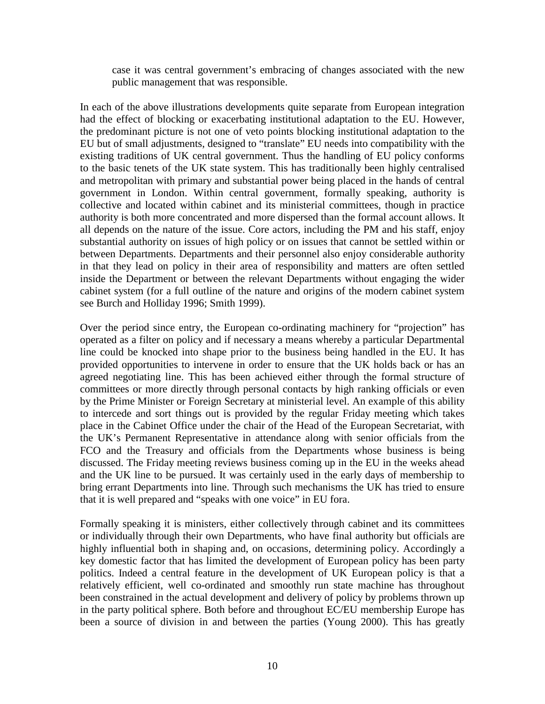case it was central government's embracing of changes associated with the new public management that was responsible.

In each of the above illustrations developments quite separate from European integration had the effect of blocking or exacerbating institutional adaptation to the EU. However, the predominant picture is not one of veto points blocking institutional adaptation to the EU but of small adjustments, designed to "translate" EU needs into compatibility with the existing traditions of UK central government. Thus the handling of EU policy conforms to the basic tenets of the UK state system. This has traditionally been highly centralised and metropolitan with primary and substantial power being placed in the hands of central government in London. Within central government, formally speaking, authority is collective and located within cabinet and its ministerial committees, though in practice authority is both more concentrated and more dispersed than the formal account allows. It all depends on the nature of the issue. Core actors, including the PM and his staff, enjoy substantial authority on issues of high policy or on issues that cannot be settled within or between Departments. Departments and their personnel also enjoy considerable authority in that they lead on policy in their area of responsibility and matters are often settled inside the Department or between the relevant Departments without engaging the wider cabinet system (for a full outline of the nature and origins of the modern cabinet system see Burch and Holliday 1996; Smith 1999).

Over the period since entry, the European co-ordinating machinery for "projection" has operated as a filter on policy and if necessary a means whereby a particular Departmental line could be knocked into shape prior to the business being handled in the EU. It has provided opportunities to intervene in order to ensure that the UK holds back or has an agreed negotiating line. This has been achieved either through the formal structure of committees or more directly through personal contacts by high ranking officials or even by the Prime Minister or Foreign Secretary at ministerial level. An example of this ability to intercede and sort things out is provided by the regular Friday meeting which takes place in the Cabinet Office under the chair of the Head of the European Secretariat, with the UK's Permanent Representative in attendance along with senior officials from the FCO and the Treasury and officials from the Departments whose business is being discussed. The Friday meeting reviews business coming up in the EU in the weeks ahead and the UK line to be pursued. It was certainly used in the early days of membership to bring errant Departments into line. Through such mechanisms the UK has tried to ensure that it is well prepared and "speaks with one voice" in EU fora.

Formally speaking it is ministers, either collectively through cabinet and its committees or individually through their own Departments, who have final authority but officials are highly influential both in shaping and, on occasions, determining policy. Accordingly a key domestic factor that has limited the development of European policy has been party politics. Indeed a central feature in the development of UK European policy is that a relatively efficient, well co-ordinated and smoothly run state machine has throughout been constrained in the actual development and delivery of policy by problems thrown up in the party political sphere. Both before and throughout EC/EU membership Europe has been a source of division in and between the parties (Young 2000). This has greatly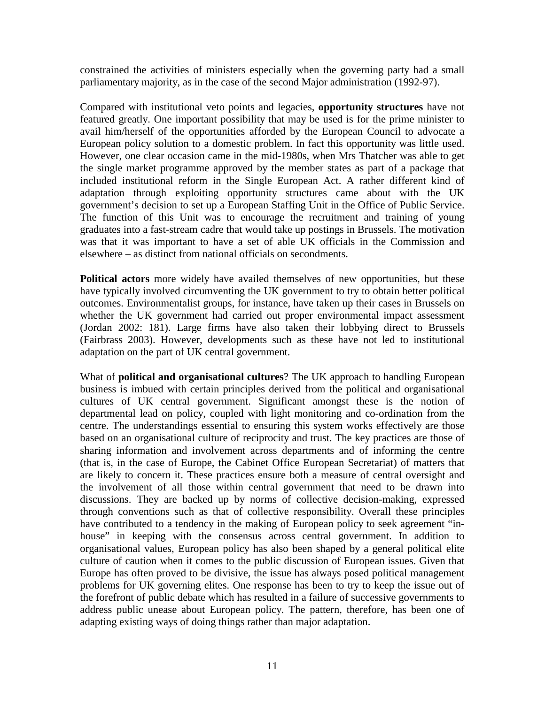constrained the activities of ministers especially when the governing party had a small parliamentary majority, as in the case of the second Major administration (1992-97).

Compared with institutional veto points and legacies, **opportunity structures** have not featured greatly. One important possibility that may be used is for the prime minister to avail him/herself of the opportunities afforded by the European Council to advocate a European policy solution to a domestic problem. In fact this opportunity was little used. However, one clear occasion came in the mid-1980s, when Mrs Thatcher was able to get the single market programme approved by the member states as part of a package that included institutional reform in the Single European Act. A rather different kind of adaptation through exploiting opportunity structures came about with the UK government's decision to set up a European Staffing Unit in the Office of Public Service. The function of this Unit was to encourage the recruitment and training of young graduates into a fast-stream cadre that would take up postings in Brussels. The motivation was that it was important to have a set of able UK officials in the Commission and elsewhere – as distinct from national officials on secondments.

**Political actors** more widely have availed themselves of new opportunities, but these have typically involved circumventing the UK government to try to obtain better political outcomes. Environmentalist groups, for instance, have taken up their cases in Brussels on whether the UK government had carried out proper environmental impact assessment (Jordan 2002: 181). Large firms have also taken their lobbying direct to Brussels (Fairbrass 2003). However, developments such as these have not led to institutional adaptation on the part of UK central government.

What of **political and organisational cultures**? The UK approach to handling European business is imbued with certain principles derived from the political and organisational cultures of UK central government. Significant amongst these is the notion of departmental lead on policy, coupled with light monitoring and co-ordination from the centre. The understandings essential to ensuring this system works effectively are those based on an organisational culture of reciprocity and trust. The key practices are those of sharing information and involvement across departments and of informing the centre (that is, in the case of Europe, the Cabinet Office European Secretariat) of matters that are likely to concern it. These practices ensure both a measure of central oversight and the involvement of all those within central government that need to be drawn into discussions. They are backed up by norms of collective decision-making, expressed through conventions such as that of collective responsibility. Overall these principles have contributed to a tendency in the making of European policy to seek agreement "inhouse" in keeping with the consensus across central government. In addition to organisational values, European policy has also been shaped by a general political elite culture of caution when it comes to the public discussion of European issues. Given that Europe has often proved to be divisive, the issue has always posed political management problems for UK governing elites. One response has been to try to keep the issue out of the forefront of public debate which has resulted in a failure of successive governments to address public unease about European policy. The pattern, therefore, has been one of adapting existing ways of doing things rather than major adaptation.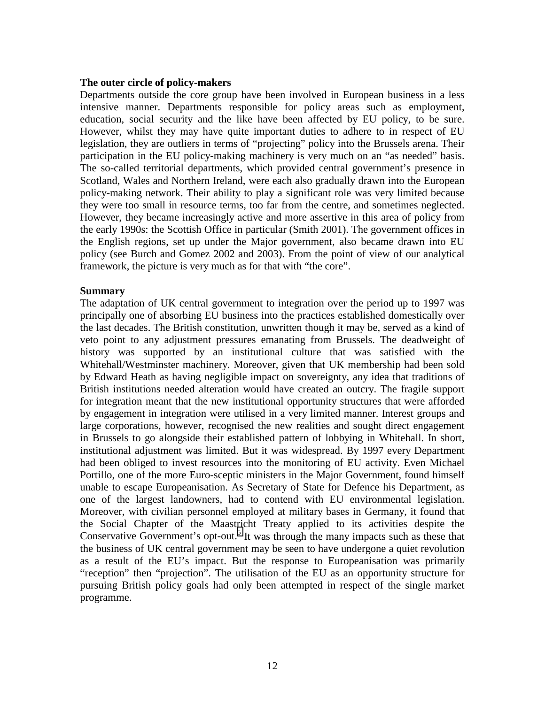#### **The outer circle of policy-makers**

Departments outside the core group have been involved in European business in a less intensive manner. Departments responsible for policy areas such as employment, education, social security and the like have been affected by EU policy, to be sure. However, whilst they may have quite important duties to adhere to in respect of EU legislation, they are outliers in terms of "projecting" policy into the Brussels arena. Their participation in the EU policy-making machinery is very much on an "as needed" basis. The so-called territorial departments, which provided central government's presence in Scotland, Wales and Northern Ireland, were each also gradually drawn into the European policy-making network. Their ability to play a significant role was very limited because they were too small in resource terms, too far from the centre, and sometimes neglected. However, they became increasingly active and more assertive in this area of policy from the early 1990s: the Scottish Office in particular (Smith 2001). The government offices in the English regions, set up under the Major government, also became drawn into EU policy (see Burch and Gomez 2002 and 2003). From the point of view of our analytical framework, the picture is very much as for that with "the core".

#### **Summary**

The adaptation of UK central government to integration over the period up to 1997 was principally one of absorbing EU business into the practices established domestically over the last decades. The British constitution, unwritten though it may be, served as a kind of veto point to any adjustment pressures emanating from Brussels. The deadweight of history was supported by an institutional culture that was satisfied with the Whitehall/Westminster machinery. Moreover, given that UK membership had been sold by Edward Heath as having negligible impact on sovereignty, any idea that traditions of British institutions needed alteration would have created an outcry. The fragile support for integration meant that the new institutional opportunity structures that were afforded by engagement in integration were utilised in a very limited manner. Interest groups and large corporations, however, recognised the new realities and sought direct engagement in Brussels to go alongside their established pattern of lobbying in Whitehall. In short, institutional adjustment was limited. But it was widespread. By 1997 every Department had been obliged to invest resources into the monitoring of EU activity. Even Michael Portillo, one of the more Euro-sceptic ministers in the Major Government, found himself unable to escape Europeanisation. As Secretary of State for Defence his Department, as one of the largest landowners, had to contend with EU environmental legislation. Moreover, with civilian personnel employed at military bases in Germany, it found that the Social Chapter of the Maastricht Treaty applied to its activities despite the Conservative Government's opt-out.<sup>[5](#page-23-0)</sup> It was through the many impacts such as these that the business of UK central government may be seen to have undergone a quiet revolution as a result of the EU's impact. But the response to Europeanisation was primarily "reception" then "projection". The utilisation of the EU as an opportunity structure for pursuing British policy goals had only been attempted in respect of the single market programme.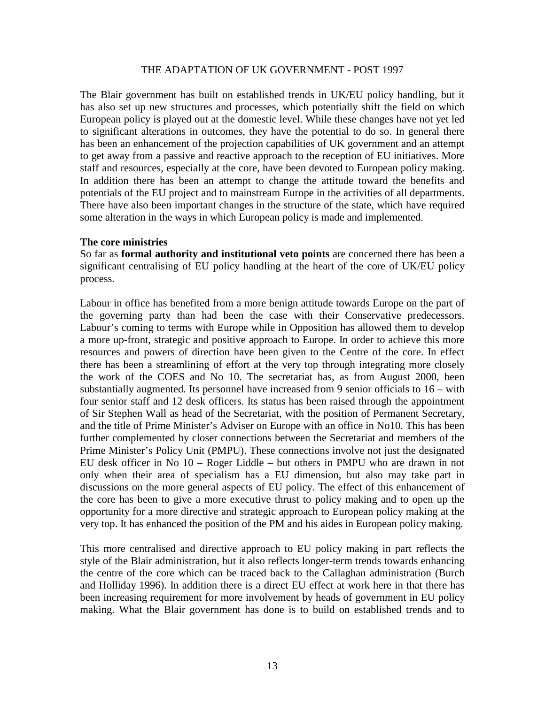## THE ADAPTATION OF UK GOVERNMENT - POST 1997

The Blair government has built on established trends in UK/EU policy handling, but it has also set up new structures and processes, which potentially shift the field on which European policy is played out at the domestic level. While these changes have not yet led to significant alterations in outcomes, they have the potential to do so. In general there has been an enhancement of the projection capabilities of UK government and an attempt to get away from a passive and reactive approach to the reception of EU initiatives. More staff and resources, especially at the core, have been devoted to European policy making. In addition there has been an attempt to change the attitude toward the benefits and potentials of the EU project and to mainstream Europe in the activities of all departments. There have also been important changes in the structure of the state, which have required some alteration in the ways in which European policy is made and implemented.

#### **The core ministries**

So far as **formal authority and institutional veto points** are concerned there has been a significant centralising of EU policy handling at the heart of the core of UK/EU policy process.

Labour in office has benefited from a more benign attitude towards Europe on the part of the governing party than had been the case with their Conservative predecessors. Labour's coming to terms with Europe while in Opposition has allowed them to develop a more up-front, strategic and positive approach to Europe. In order to achieve this more resources and powers of direction have been given to the Centre of the core. In effect there has been a streamlining of effort at the very top through integrating more closely the work of the COES and No 10. The secretariat has, as from August 2000, been substantially augmented. Its personnel have increased from 9 senior officials to 16 – with four senior staff and 12 desk officers. Its status has been raised through the appointment of Sir Stephen Wall as head of the Secretariat, with the position of Permanent Secretary, and the title of Prime Minister's Adviser on Europe with an office in No10. This has been further complemented by closer connections between the Secretariat and members of the Prime Minister's Policy Unit (PMPU). These connections involve not just the designated EU desk officer in No 10 – Roger Liddle – but others in PMPU who are drawn in not only when their area of specialism has a EU dimension, but also may take part in discussions on the more general aspects of EU policy. The effect of this enhancement of the core has been to give a more executive thrust to policy making and to open up the opportunity for a more directive and strategic approach to European policy making at the very top. It has enhanced the position of the PM and his aides in European policy making.

This more centralised and directive approach to EU policy making in part reflects the style of the Blair administration, but it also reflects longer-term trends towards enhancing the centre of the core which can be traced back to the Callaghan administration (Burch and Holliday 1996). In addition there is a direct EU effect at work here in that there has been increasing requirement for more involvement by heads of government in EU policy making. What the Blair government has done is to build on established trends and to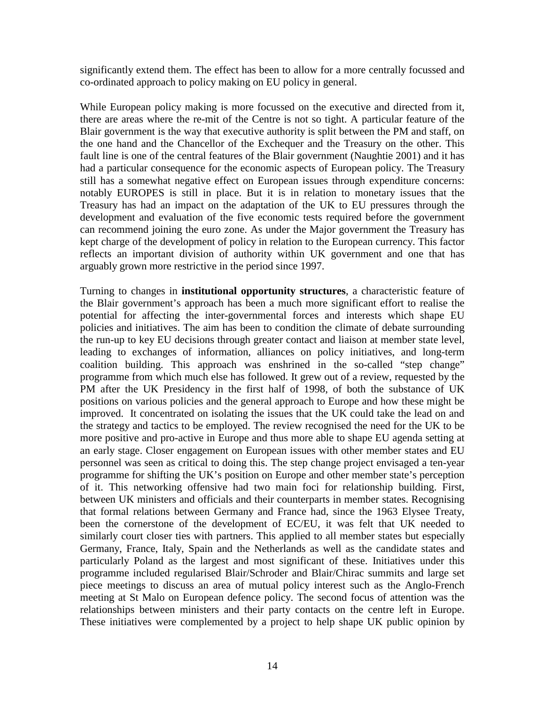significantly extend them. The effect has been to allow for a more centrally focussed and co-ordinated approach to policy making on EU policy in general.

While European policy making is more focussed on the executive and directed from it, there are areas where the re-mit of the Centre is not so tight. A particular feature of the Blair government is the way that executive authority is split between the PM and staff, on the one hand and the Chancellor of the Exchequer and the Treasury on the other. This fault line is one of the central features of the Blair government (Naughtie 2001) and it has had a particular consequence for the economic aspects of European policy. The Treasury still has a somewhat negative effect on European issues through expenditure concerns: notably EUROPES is still in place. But it is in relation to monetary issues that the Treasury has had an impact on the adaptation of the UK to EU pressures through the development and evaluation of the five economic tests required before the government can recommend joining the euro zone. As under the Major government the Treasury has kept charge of the development of policy in relation to the European currency. This factor reflects an important division of authority within UK government and one that has arguably grown more restrictive in the period since 1997.

Turning to changes in **institutional opportunity structures**, a characteristic feature of the Blair government's approach has been a much more significant effort to realise the potential for affecting the inter-governmental forces and interests which shape EU policies and initiatives. The aim has been to condition the climate of debate surrounding the run-up to key EU decisions through greater contact and liaison at member state level, leading to exchanges of information, alliances on policy initiatives, and long-term coalition building. This approach was enshrined in the so-called "step change" programme from which much else has followed. It grew out of a review, requested by the PM after the UK Presidency in the first half of 1998, of both the substance of UK positions on various policies and the general approach to Europe and how these might be improved. It concentrated on isolating the issues that the UK could take the lead on and the strategy and tactics to be employed. The review recognised the need for the UK to be more positive and pro-active in Europe and thus more able to shape EU agenda setting at an early stage. Closer engagement on European issues with other member states and EU personnel was seen as critical to doing this. The step change project envisaged a ten-year programme for shifting the UK's position on Europe and other member state's perception of it. This networking offensive had two main foci for relationship building. First, between UK ministers and officials and their counterparts in member states. Recognising that formal relations between Germany and France had, since the 1963 Elysee Treaty, been the cornerstone of the development of EC/EU, it was felt that UK needed to similarly court closer ties with partners. This applied to all member states but especially Germany, France, Italy, Spain and the Netherlands as well as the candidate states and particularly Poland as the largest and most significant of these. Initiatives under this programme included regularised Blair/Schroder and Blair/Chirac summits and large set piece meetings to discuss an area of mutual policy interest such as the Anglo-French meeting at St Malo on European defence policy. The second focus of attention was the relationships between ministers and their party contacts on the centre left in Europe. These initiatives were complemented by a project to help shape UK public opinion by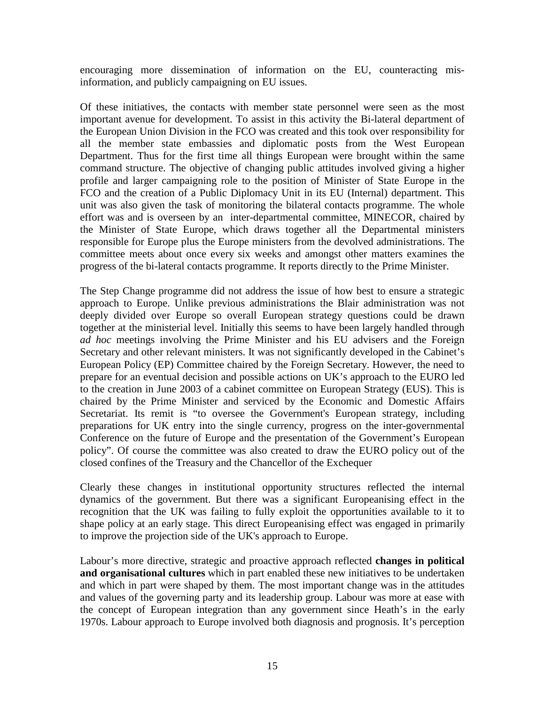encouraging more dissemination of information on the EU, counteracting misinformation, and publicly campaigning on EU issues.

Of these initiatives, the contacts with member state personnel were seen as the most important avenue for development. To assist in this activity the Bi-lateral department of the European Union Division in the FCO was created and this took over responsibility for all the member state embassies and diplomatic posts from the West European Department. Thus for the first time all things European were brought within the same command structure. The objective of changing public attitudes involved giving a higher profile and larger campaigning role to the position of Minister of State Europe in the FCO and the creation of a Public Diplomacy Unit in its EU (Internal) department. This unit was also given the task of monitoring the bilateral contacts programme. The whole effort was and is overseen by an inter-departmental committee, MINECOR, chaired by the Minister of State Europe, which draws together all the Departmental ministers responsible for Europe plus the Europe ministers from the devolved administrations. The committee meets about once every six weeks and amongst other matters examines the progress of the bi-lateral contacts programme. It reports directly to the Prime Minister.

The Step Change programme did not address the issue of how best to ensure a strategic approach to Europe. Unlike previous administrations the Blair administration was not deeply divided over Europe so overall European strategy questions could be drawn together at the ministerial level. Initially this seems to have been largely handled through *ad hoc* meetings involving the Prime Minister and his EU advisers and the Foreign Secretary and other relevant ministers. It was not significantly developed in the Cabinet's European Policy (EP) Committee chaired by the Foreign Secretary. However, the need to prepare for an eventual decision and possible actions on UK's approach to the EURO led to the creation in June 2003 of a cabinet committee on European Strategy (EUS). This is chaired by the Prime Minister and serviced by the Economic and Domestic Affairs Secretariat. Its remit is "to oversee the Government's European strategy, including preparations for UK entry into the single currency, progress on the inter-governmental Conference on the future of Europe and the presentation of the Government's European policy". Of course the committee was also created to draw the EURO policy out of the closed confines of the Treasury and the Chancellor of the Exchequer

Clearly these changes in institutional opportunity structures reflected the internal dynamics of the government. But there was a significant Europeanising effect in the recognition that the UK was failing to fully exploit the opportunities available to it to shape policy at an early stage. This direct Europeanising effect was engaged in primarily to improve the projection side of the UK's approach to Europe.

Labour's more directive, strategic and proactive approach reflected **changes in political and organisational cultures** which in part enabled these new initiatives to be undertaken and which in part were shaped by them. The most important change was in the attitudes and values of the governing party and its leadership group. Labour was more at ease with the concept of European integration than any government since Heath's in the early 1970s. Labour approach to Europe involved both diagnosis and prognosis. It's perception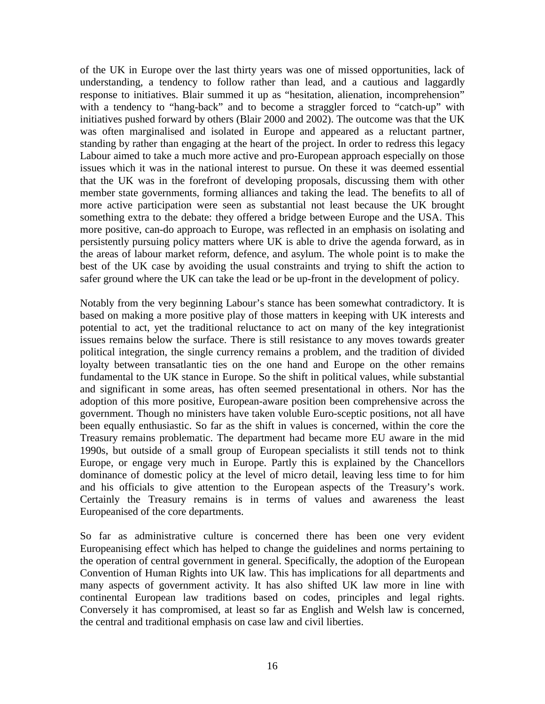of the UK in Europe over the last thirty years was one of missed opportunities, lack of understanding, a tendency to follow rather than lead, and a cautious and laggardly response to initiatives. Blair summed it up as "hesitation, alienation, incomprehension" with a tendency to "hang-back" and to become a straggler forced to "catch-up" with initiatives pushed forward by others (Blair 2000 and 2002). The outcome was that the UK was often marginalised and isolated in Europe and appeared as a reluctant partner, standing by rather than engaging at the heart of the project. In order to redress this legacy Labour aimed to take a much more active and pro-European approach especially on those issues which it was in the national interest to pursue. On these it was deemed essential that the UK was in the forefront of developing proposals, discussing them with other member state governments, forming alliances and taking the lead. The benefits to all of more active participation were seen as substantial not least because the UK brought something extra to the debate: they offered a bridge between Europe and the USA. This more positive, can-do approach to Europe, was reflected in an emphasis on isolating and persistently pursuing policy matters where UK is able to drive the agenda forward, as in the areas of labour market reform, defence, and asylum. The whole point is to make the best of the UK case by avoiding the usual constraints and trying to shift the action to safer ground where the UK can take the lead or be up-front in the development of policy.

Notably from the very beginning Labour's stance has been somewhat contradictory. It is based on making a more positive play of those matters in keeping with UK interests and potential to act, yet the traditional reluctance to act on many of the key integrationist issues remains below the surface. There is still resistance to any moves towards greater political integration, the single currency remains a problem, and the tradition of divided loyalty between transatlantic ties on the one hand and Europe on the other remains fundamental to the UK stance in Europe. So the shift in political values, while substantial and significant in some areas, has often seemed presentational in others. Nor has the adoption of this more positive, European-aware position been comprehensive across the government. Though no ministers have taken voluble Euro-sceptic positions, not all have been equally enthusiastic. So far as the shift in values is concerned, within the core the Treasury remains problematic. The department had became more EU aware in the mid 1990s, but outside of a small group of European specialists it still tends not to think Europe, or engage very much in Europe. Partly this is explained by the Chancellors dominance of domestic policy at the level of micro detail, leaving less time to for him and his officials to give attention to the European aspects of the Treasury's work. Certainly the Treasury remains is in terms of values and awareness the least Europeanised of the core departments.

So far as administrative culture is concerned there has been one very evident Europeanising effect which has helped to change the guidelines and norms pertaining to the operation of central government in general. Specifically, the adoption of the European Convention of Human Rights into UK law. This has implications for all departments and many aspects of government activity. It has also shifted UK law more in line with continental European law traditions based on codes, principles and legal rights. Conversely it has compromised, at least so far as English and Welsh law is concerned, the central and traditional emphasis on case law and civil liberties.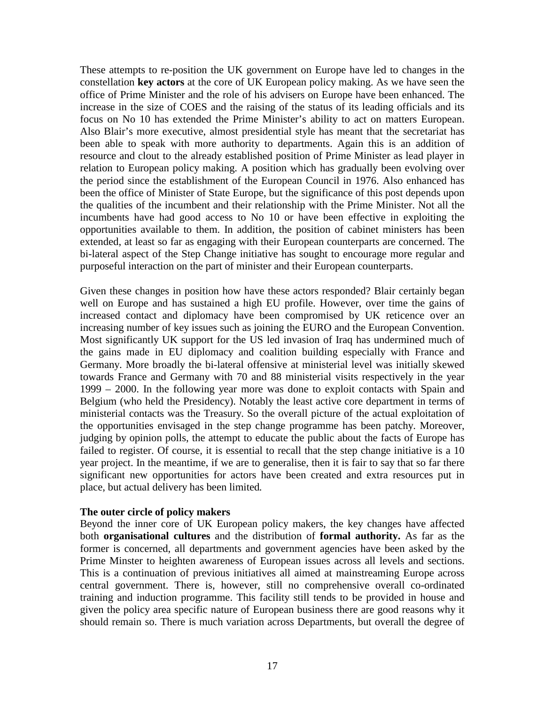These attempts to re-position the UK government on Europe have led to changes in the constellation **key actors** at the core of UK European policy making. As we have seen the office of Prime Minister and the role of his advisers on Europe have been enhanced. The increase in the size of COES and the raising of the status of its leading officials and its focus on No 10 has extended the Prime Minister's ability to act on matters European. Also Blair's more executive, almost presidential style has meant that the secretariat has been able to speak with more authority to departments. Again this is an addition of resource and clout to the already established position of Prime Minister as lead player in relation to European policy making. A position which has gradually been evolving over the period since the establishment of the European Council in 1976. Also enhanced has been the office of Minister of State Europe, but the significance of this post depends upon the qualities of the incumbent and their relationship with the Prime Minister. Not all the incumbents have had good access to No 10 or have been effective in exploiting the opportunities available to them. In addition, the position of cabinet ministers has been extended, at least so far as engaging with their European counterparts are concerned. The bi-lateral aspect of the Step Change initiative has sought to encourage more regular and purposeful interaction on the part of minister and their European counterparts.

Given these changes in position how have these actors responded? Blair certainly began well on Europe and has sustained a high EU profile. However, over time the gains of increased contact and diplomacy have been compromised by UK reticence over an increasing number of key issues such as joining the EURO and the European Convention. Most significantly UK support for the US led invasion of Iraq has undermined much of the gains made in EU diplomacy and coalition building especially with France and Germany. More broadly the bi-lateral offensive at ministerial level was initially skewed towards France and Germany with 70 and 88 ministerial visits respectively in the year 1999 – 2000. In the following year more was done to exploit contacts with Spain and Belgium (who held the Presidency). Notably the least active core department in terms of ministerial contacts was the Treasury. So the overall picture of the actual exploitation of the opportunities envisaged in the step change programme has been patchy. Moreover, judging by opinion polls, the attempt to educate the public about the facts of Europe has failed to register. Of course, it is essential to recall that the step change initiative is a 10 year project. In the meantime, if we are to generalise, then it is fair to say that so far there significant new opportunities for actors have been created and extra resources put in place, but actual delivery has been limited*.* 

# **The outer circle of policy makers**

Beyond the inner core of UK European policy makers, the key changes have affected both **organisational cultures** and the distribution of **formal authority.** As far as the former is concerned, all departments and government agencies have been asked by the Prime Minster to heighten awareness of European issues across all levels and sections. This is a continuation of previous initiatives all aimed at mainstreaming Europe across central government. There is, however, still no comprehensive overall co-ordinated training and induction programme. This facility still tends to be provided in house and given the policy area specific nature of European business there are good reasons why it should remain so. There is much variation across Departments, but overall the degree of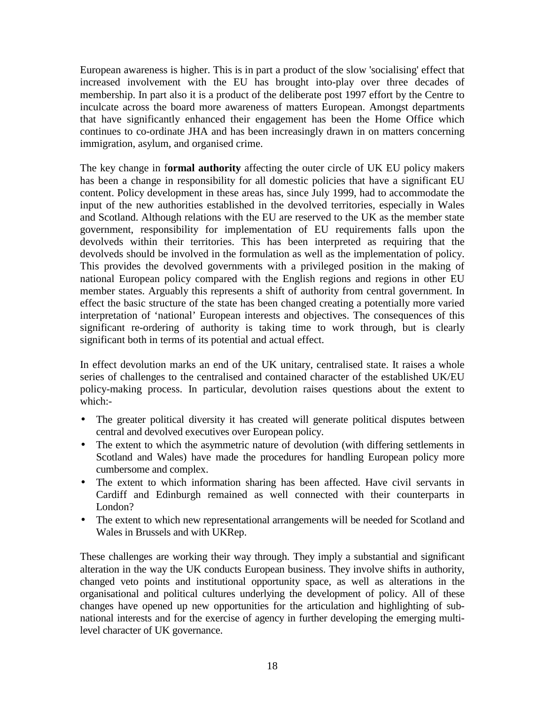European awareness is higher. This is in part a product of the slow 'socialising' effect that increased involvement with the EU has brought into-play over three decades of membership. In part also it is a product of the deliberate post 1997 effort by the Centre to inculcate across the board more awareness of matters European. Amongst departments that have significantly enhanced their engagement has been the Home Office which continues to co-ordinate JHA and has been increasingly drawn in on matters concerning immigration, asylum, and organised crime.

The key change in f**ormal authority** affecting the outer circle of UK EU policy makers has been a change in responsibility for all domestic policies that have a significant EU content. Policy development in these areas has, since July 1999, had to accommodate the input of the new authorities established in the devolved territories, especially in Wales and Scotland. Although relations with the EU are reserved to the UK as the member state government, responsibility for implementation of EU requirements falls upon the devolveds within their territories. This has been interpreted as requiring that the devolveds should be involved in the formulation as well as the implementation of policy. This provides the devolved governments with a privileged position in the making of national European policy compared with the English regions and regions in other EU member states. Arguably this represents a shift of authority from central government. In effect the basic structure of the state has been changed creating a potentially more varied interpretation of 'national' European interests and objectives. The consequences of this significant re-ordering of authority is taking time to work through, but is clearly significant both in terms of its potential and actual effect.

In effect devolution marks an end of the UK unitary, centralised state. It raises a whole series of challenges to the centralised and contained character of the established UK/EU policy-making process. In particular, devolution raises questions about the extent to which:-

- The greater political diversity it has created will generate political disputes between central and devolved executives over European policy.
- The extent to which the asymmetric nature of devolution (with differing settlements in Scotland and Wales) have made the procedures for handling European policy more cumbersome and complex.
- The extent to which information sharing has been affected. Have civil servants in Cardiff and Edinburgh remained as well connected with their counterparts in London?
- The extent to which new representational arrangements will be needed for Scotland and Wales in Brussels and with UKRep.

These challenges are working their way through. They imply a substantial and significant alteration in the way the UK conducts European business. They involve shifts in authority, changed veto points and institutional opportunity space, as well as alterations in the organisational and political cultures underlying the development of policy. All of these changes have opened up new opportunities for the articulation and highlighting of subnational interests and for the exercise of agency in further developing the emerging multilevel character of UK governance.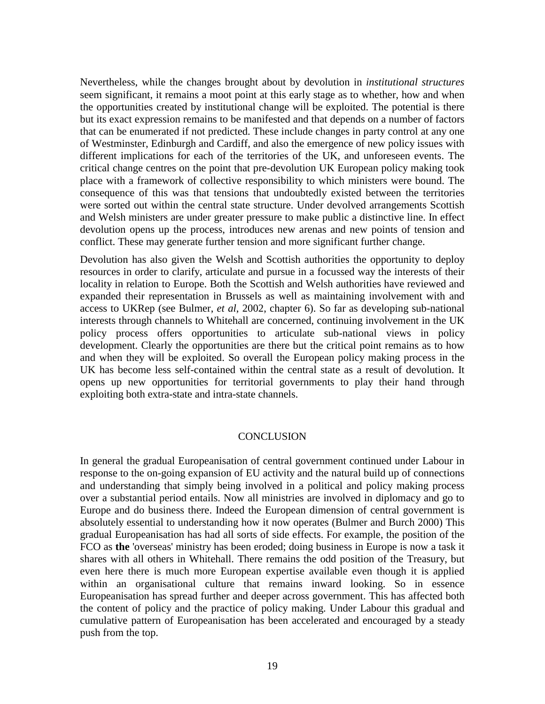Nevertheless, while the changes brought about by devolution in *institutional structures* seem significant, it remains a moot point at this early stage as to whether, how and when the opportunities created by institutional change will be exploited. The potential is there but its exact expression remains to be manifested and that depends on a number of factors that can be enumerated if not predicted. These include changes in party control at any one of Westminster, Edinburgh and Cardiff, and also the emergence of new policy issues with different implications for each of the territories of the UK, and unforeseen events. The critical change centres on the point that pre-devolution UK European policy making took place with a framework of collective responsibility to which ministers were bound. The consequence of this was that tensions that undoubtedly existed between the territories were sorted out within the central state structure. Under devolved arrangements Scottish and Welsh ministers are under greater pressure to make public a distinctive line. In effect devolution opens up the process, introduces new arenas and new points of tension and conflict. These may generate further tension and more significant further change.

Devolution has also given the Welsh and Scottish authorities the opportunity to deploy resources in order to clarify, articulate and pursue in a focussed way the interests of their locality in relation to Europe. Both the Scottish and Welsh authorities have reviewed and expanded their representation in Brussels as well as maintaining involvement with and access to UKRep (see Bulmer, *et al*, 2002, chapter 6). So far as developing sub-national interests through channels to Whitehall are concerned, continuing involvement in the UK policy process offers opportunities to articulate sub-national views in policy development. Clearly the opportunities are there but the critical point remains as to how and when they will be exploited. So overall the European policy making process in the UK has become less self-contained within the central state as a result of devolution. It opens up new opportunities for territorial governments to play their hand through exploiting both extra-state and intra-state channels.

#### **CONCLUSION**

In general the gradual Europeanisation of central government continued under Labour in response to the on-going expansion of EU activity and the natural build up of connections and understanding that simply being involved in a political and policy making process over a substantial period entails. Now all ministries are involved in diplomacy and go to Europe and do business there. Indeed the European dimension of central government is absolutely essential to understanding how it now operates (Bulmer and Burch 2000) This gradual Europeanisation has had all sorts of side effects. For example, the position of the FCO as **the** 'overseas' ministry has been eroded; doing business in Europe is now a task it shares with all others in Whitehall. There remains the odd position of the Treasury, but even here there is much more European expertise available even though it is applied within an organisational culture that remains inward looking. So in essence Europeanisation has spread further and deeper across government. This has affected both the content of policy and the practice of policy making. Under Labour this gradual and cumulative pattern of Europeanisation has been accelerated and encouraged by a steady push from the top.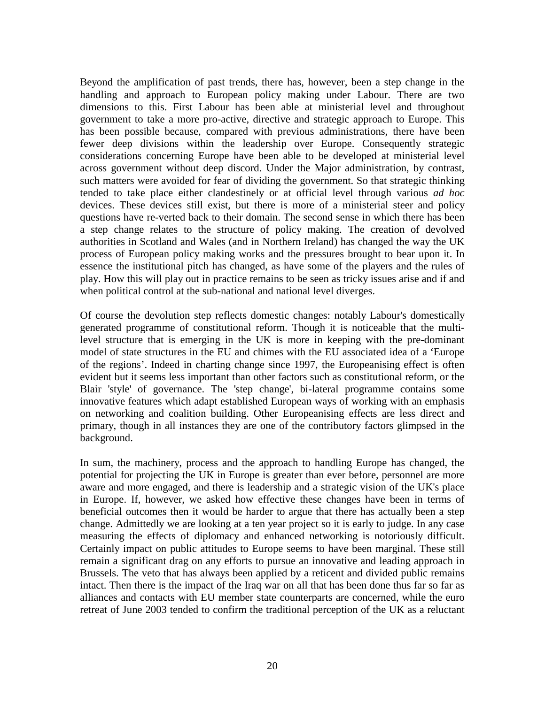Beyond the amplification of past trends, there has, however, been a step change in the handling and approach to European policy making under Labour. There are two dimensions to this. First Labour has been able at ministerial level and throughout government to take a more pro-active, directive and strategic approach to Europe. This has been possible because, compared with previous administrations, there have been fewer deep divisions within the leadership over Europe. Consequently strategic considerations concerning Europe have been able to be developed at ministerial level across government without deep discord. Under the Major administration, by contrast, such matters were avoided for fear of dividing the government. So that strategic thinking tended to take place either clandestinely or at official level through various *ad hoc* devices. These devices still exist, but there is more of a ministerial steer and policy questions have re-verted back to their domain. The second sense in which there has been a step change relates to the structure of policy making. The creation of devolved authorities in Scotland and Wales (and in Northern Ireland) has changed the way the UK process of European policy making works and the pressures brought to bear upon it. In essence the institutional pitch has changed, as have some of the players and the rules of play. How this will play out in practice remains to be seen as tricky issues arise and if and when political control at the sub-national and national level diverges.

Of course the devolution step reflects domestic changes: notably Labour's domestically generated programme of constitutional reform. Though it is noticeable that the multilevel structure that is emerging in the UK is more in keeping with the pre-dominant model of state structures in the EU and chimes with the EU associated idea of a 'Europe of the regions'. Indeed in charting change since 1997, the Europeanising effect is often evident but it seems less important than other factors such as constitutional reform, or the Blair 'style' of governance. The 'step change', bi-lateral programme contains some innovative features which adapt established European ways of working with an emphasis on networking and coalition building. Other Europeanising effects are less direct and primary, though in all instances they are one of the contributory factors glimpsed in the background.

In sum, the machinery, process and the approach to handling Europe has changed, the potential for projecting the UK in Europe is greater than ever before, personnel are more aware and more engaged, and there is leadership and a strategic vision of the UK's place in Europe. If, however, we asked how effective these changes have been in terms of beneficial outcomes then it would be harder to argue that there has actually been a step change. Admittedly we are looking at a ten year project so it is early to judge. In any case measuring the effects of diplomacy and enhanced networking is notoriously difficult. Certainly impact on public attitudes to Europe seems to have been marginal. These still remain a significant drag on any efforts to pursue an innovative and leading approach in Brussels. The veto that has always been applied by a reticent and divided public remains intact. Then there is the impact of the Iraq war on all that has been done thus far so far as alliances and contacts with EU member state counterparts are concerned, while the euro retreat of June 2003 tended to confirm the traditional perception of the UK as a reluctant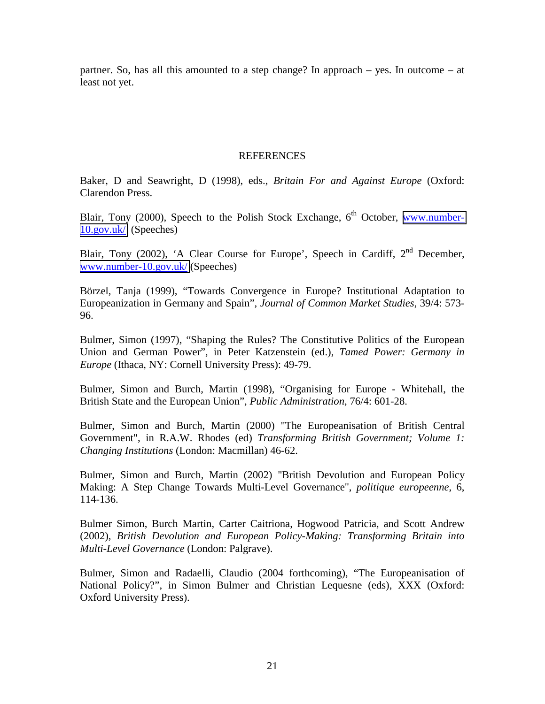partner. So, has all this amounted to a step change? In approach – yes. In outcome – at least not yet.

# REFERENCES

Baker, D and Seawright, D (1998), eds., *Britain For and Against Europe* (Oxford: Clarendon Press.

Blair, Tony (2000), Speech to the Polish Stock Exchange,  $6<sup>th</sup>$  October, [www.number-](http://www.number-10.gov.uk/news.asp)[10.gov.uk/](http://www.number-10.gov.uk/news.asp) (Speeches)

Blair, Tony (2002), 'A Clear Course for Europe', Speech in Cardiff,  $2<sup>nd</sup>$  December, [www.number-10.gov.uk/](http://www.number-10.gov.uk/news.asp) (Speeches)

Börzel, Tanja (1999), "Towards Convergence in Europe? Institutional Adaptation to Europeanization in Germany and Spain", *Journal of Common Market Studies*, 39/4: 573- 96.

Bulmer, Simon (1997), "Shaping the Rules? The Constitutive Politics of the European Union and German Power", in Peter Katzenstein (ed.), *Tamed Power: Germany in Europe* (Ithaca, NY: Cornell University Press): 49-79.

Bulmer, Simon and Burch, Martin (1998), "Organising for Europe - Whitehall, the British State and the European Union", *Public Administration*, 76/4: 601-28.

Bulmer, Simon and Burch, Martin (2000) "The Europeanisation of British Central Government", in R.A.W. Rhodes (ed) *Transforming British Government; Volume 1: Changing Institutions* (London: Macmillan) 46-62.

Bulmer, Simon and Burch, Martin (2002) "British Devolution and European Policy Making: A Step Change Towards Multi-Level Governance", *politique europeenne*, 6, 114-136.

Bulmer Simon, Burch Martin, Carter Caitriona, Hogwood Patricia, and Scott Andrew (2002), *British Devolution and European Policy-Making: Transforming Britain into Multi-Level Governance* (London: Palgrave).

Bulmer, Simon and Radaelli, Claudio (2004 forthcoming), "The Europeanisation of National Policy?", in Simon Bulmer and Christian Lequesne (eds), XXX (Oxford: Oxford University Press).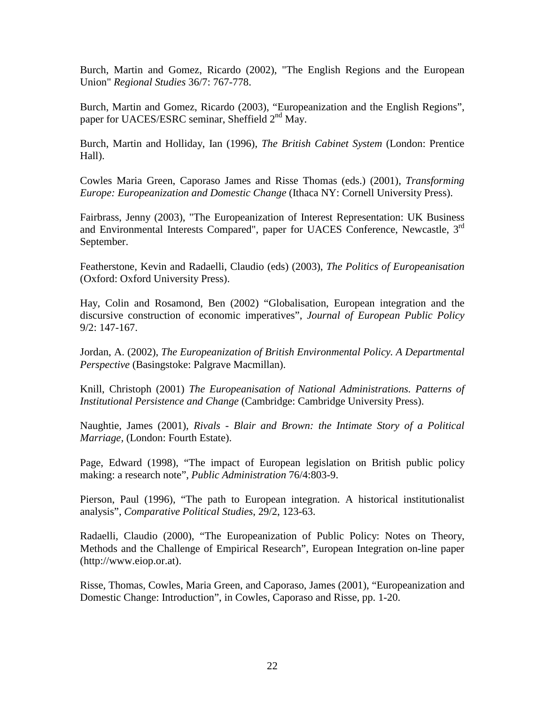Burch, Martin and Gomez, Ricardo (2002), "The English Regions and the European Union" *Regional Studies* 36/7: 767-778.

Burch, Martin and Gomez, Ricardo (2003), "Europeanization and the English Regions", paper for UACES/ESRC seminar, Sheffield  $2<sup>nd</sup>$  May.

Burch, Martin and Holliday, Ian (1996), *The British Cabinet System* (London: Prentice Hall).

Cowles Maria Green, Caporaso James and Risse Thomas (eds.) (2001), *Transforming Europe: Europeanization and Domestic Change* (Ithaca NY: Cornell University Press).

Fairbrass, Jenny (2003), "The Europeanization of Interest Representation: UK Business and Environmental Interests Compared", paper for UACES Conference, Newcastle, 3<sup>rd</sup> September.

Featherstone, Kevin and Radaelli, Claudio (eds) (2003), *The Politics of Europeanisation* (Oxford: Oxford University Press).

Hay, Colin and Rosamond, Ben (2002) "Globalisation, European integration and the discursive construction of economic imperatives", *Journal of European Public Policy* 9/2: 147-167.

Jordan, A. (2002), *The Europeanization of British Environmental Policy. A Departmental Perspective* (Basingstoke: Palgrave Macmillan).

Knill, Christoph (2001) *The Europeanisation of National Administrations. Patterns of Institutional Persistence and Change* (Cambridge: Cambridge University Press).

Naughtie, James (2001), *Rivals - Blair and Brown: the Intimate Story of a Political Marriage,* (London: Fourth Estate).

Page, Edward (1998), "The impact of European legislation on British public policy making: a research note", *Public Administration* 76/4:803-9.

Pierson, Paul (1996), "The path to European integration. A historical institutionalist analysis", *Comparative Political Studies*, 29/2, 123-63.

Radaelli, Claudio (2000), "The Europeanization of Public Policy: Notes on Theory, Methods and the Challenge of Empirical Research", European Integration on-line paper (http://www.eiop.or.at).

Risse, Thomas, Cowles, Maria Green, and Caporaso, James (2001), "Europeanization and Domestic Change: Introduction", in Cowles, Caporaso and Risse, pp. 1-20.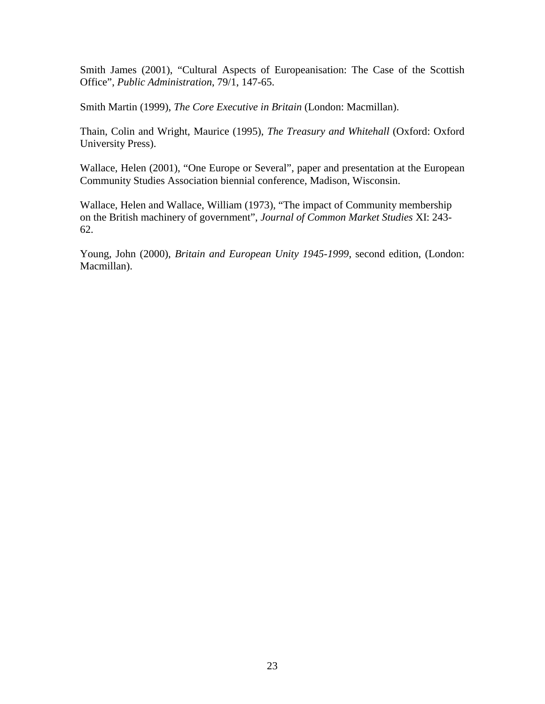Smith James (2001), "Cultural Aspects of Europeanisation: The Case of the Scottish Office", *Public Administration*, 79/1, 147-65.

Smith Martin (1999), *The Core Executive in Britain* (London: Macmillan).

Thain, Colin and Wright, Maurice (1995), *The Treasury and Whitehall* (Oxford: Oxford University Press).

Wallace, Helen (2001), "One Europe or Several", paper and presentation at the European Community Studies Association biennial conference, Madison, Wisconsin.

Wallace, Helen and Wallace, William (1973), "The impact of Community membership on the British machinery of government", *Journal of Common Market Studies* XI: 243- 62.

Young, John (2000), *Britain and European Unity 1945-1999*, second edition, (London: Macmillan).